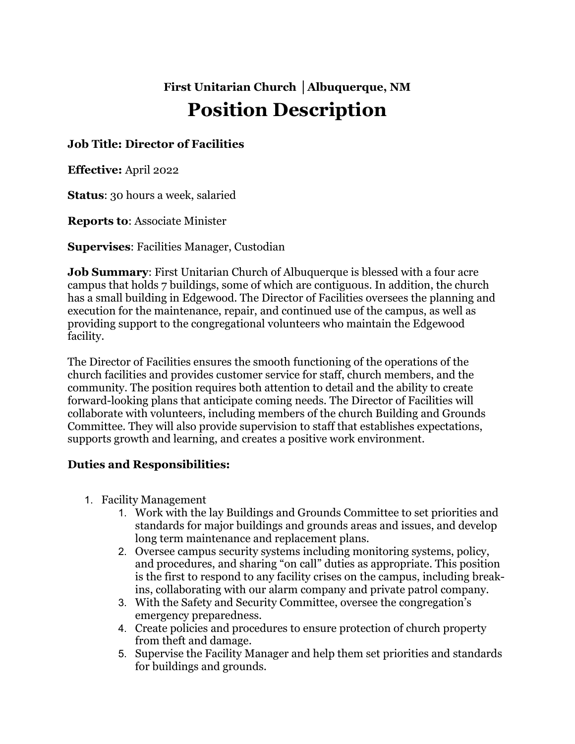# **First Unitarian Church │Albuquerque, NM Position Description**

## **Job Title: Director of Facilities**

**Effective:** April 2022

**Status**: 30 hours a week, salaried

**Reports to**: Associate Minister

**Supervises**: Facilities Manager, Custodian

**Job Summary**: First Unitarian Church of Albuquerque is blessed with a four acre campus that holds 7 buildings, some of which are contiguous. In addition, the church has a small building in Edgewood. The Director of Facilities oversees the planning and execution for the maintenance, repair, and continued use of the campus, as well as providing support to the congregational volunteers who maintain the Edgewood facility.

The Director of Facilities ensures the smooth functioning of the operations of the church facilities and provides customer service for staff, church members, and the community. The position requires both attention to detail and the ability to create forward-looking plans that anticipate coming needs. The Director of Facilities will collaborate with volunteers, including members of the church Building and Grounds Committee. They will also provide supervision to staff that establishes expectations, supports growth and learning, and creates a positive work environment.

#### **Duties and Responsibilities:**

- 1. Facility Management
	- 1. Work with the lay Buildings and Grounds Committee to set priorities and standards for major buildings and grounds areas and issues, and develop long term maintenance and replacement plans.
	- 2. Oversee campus security systems including monitoring systems, policy, and procedures, and sharing "on call" duties as appropriate. This position is the first to respond to any facility crises on the campus, including breakins, collaborating with our alarm company and private patrol company.
	- 3. With the Safety and Security Committee, oversee the congregation's emergency preparedness.
	- 4. Create policies and procedures to ensure protection of church property from theft and damage.
	- 5. Supervise the Facility Manager and help them set priorities and standards for buildings and grounds.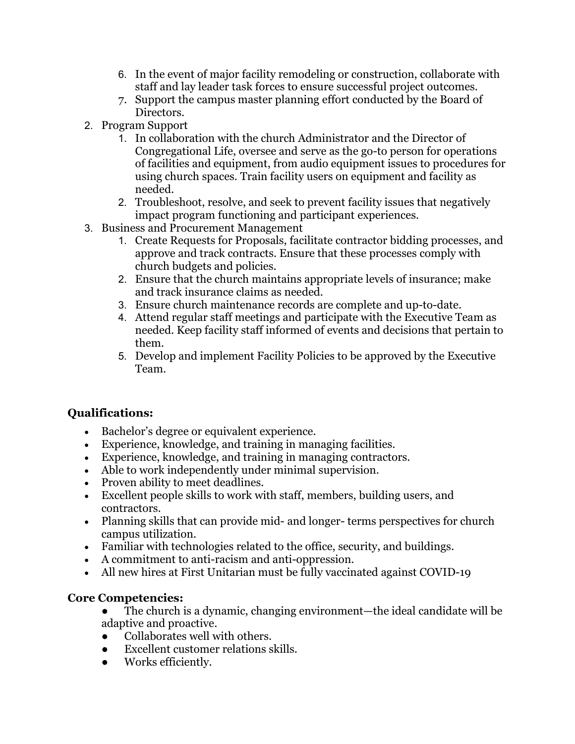- 6. In the event of major facility remodeling or construction, collaborate with staff and lay leader task forces to ensure successful project outcomes.
- 7. Support the campus master planning effort conducted by the Board of Directors.
- 2. Program Support
	- 1. In collaboration with the church Administrator and the Director of Congregational Life, oversee and serve as the go-to person for operations of facilities and equipment, from audio equipment issues to procedures for using church spaces. Train facility users on equipment and facility as needed.
	- 2. Troubleshoot, resolve, and seek to prevent facility issues that negatively impact program functioning and participant experiences.
- 3. Business and Procurement Management
	- 1. Create Requests for Proposals, facilitate contractor bidding processes, and approve and track contracts. Ensure that these processes comply with church budgets and policies.
	- 2. Ensure that the church maintains appropriate levels of insurance; make and track insurance claims as needed.
	- 3. Ensure church maintenance records are complete and up-to-date.
	- 4. Attend regular staff meetings and participate with the Executive Team as needed. Keep facility staff informed of events and decisions that pertain to them.
	- 5. Develop and implement Facility Policies to be approved by the Executive Team.

# **Qualifications:**

- Bachelor's degree or equivalent experience.
- Experience, knowledge, and training in managing facilities.
- Experience, knowledge, and training in managing contractors.
- Able to work independently under minimal supervision.
- Proven ability to meet deadlines.
- Excellent people skills to work with staff, members, building users, and contractors.
- Planning skills that can provide mid- and longer-terms perspectives for church campus utilization.
- Familiar with technologies related to the office, security, and buildings.
- A commitment to anti-racism and anti-oppression.
- All new hires at First Unitarian must be fully vaccinated against COVID-19

# **Core Competencies:**

● The church is a dynamic, changing environment—the ideal candidate will be adaptive and proactive.

- Collaborates well with others.
- Excellent customer relations skills.
- Works efficiently.